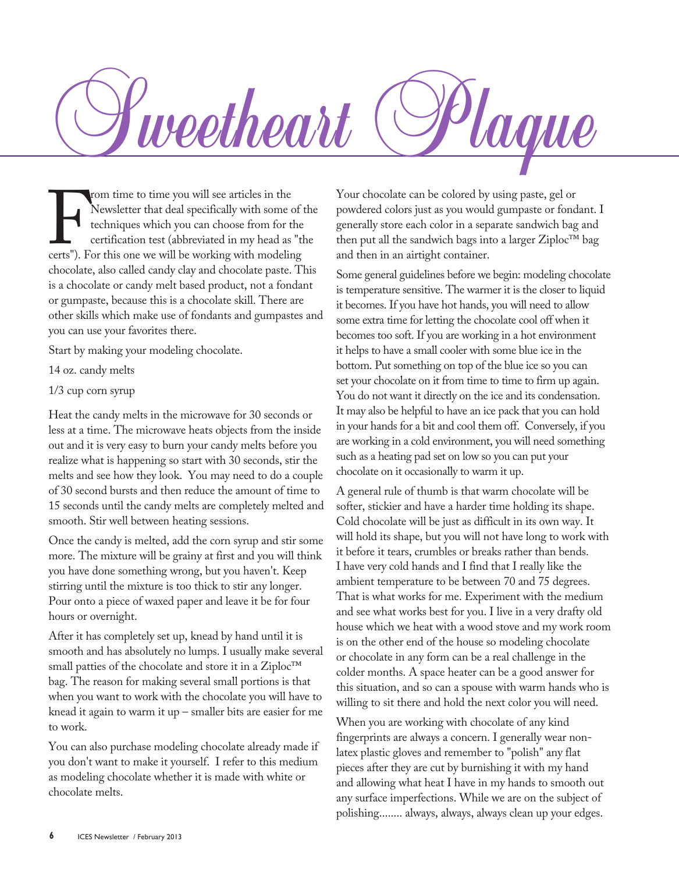**F**<br>certs"). F<br>chocolate rom time to time you will see articles in the Newsletter that deal specifically with some of the techniques which you can choose from for the certification test (abbreviated in my head as "the certs"). For this one we will be working with modeling chocolate, also called candy clay and chocolate paste. This is a chocolate or candy melt based product, not a fondant or gumpaste, because this is a chocolate skill. There are other skills which make use of fondants and gumpastes and you can use your favorites there. From time to time you will see articles in the solution of the sense of the server of the server of the server and then in an airtight container.<br>Server that deal specifically with some of the server each colors in a sepa

Start by making your modeling chocolate.

14 oz. candy melts

1/3 cup corn syrup

Heat the candy melts in the microwave for 30 seconds or less at a time. The microwave heats objects from the inside out and it is very easy to burn your candy melts before you realize what is happening so start with 30 seconds, stir the melts and see how they look. You may need to do a couple of 30 second bursts and then reduce the amount of time to 15 seconds until the candy melts are completely melted and smooth. Stir well between heating sessions.

Once the candy is melted, add the corn syrup and stir some more. The mixture will be grainy at first and you will think you have done something wrong, but you haven't. Keep stirring until the mixture is too thick to stir any longer. Pour onto a piece of waxed paper and leave it be for four hours or overnight.

After it has completely set up, knead by hand until it is smooth and has absolutely no lumps. I usually make several small patties of the chocolate and store it in a Ziploc<sup>™</sup> bag. The reason for making several small portions is that when you want to work with the chocolate you will have to knead it again to warm it up – smaller bits are easier for me to work.

You can also purchase modeling chocolate already made if you don't want to make it yourself. I refer to this medium as modeling chocolate whether it is made with white or chocolate melts.

Your chocolate can be colored by using paste, gel or powdered colors just as you would gumpaste or fondant. I generally store each color in a separate sandwich bag and then put all the sandwich bags into a larger Ziploc™ bag and then in an airtight container.

Some general guidelines before we begin: modeling chocolate is temperature sensitive. The warmer it is the closer to liquid it becomes. If you have hot hands, you will need to allow some extra time for letting the chocolate cool off when it becomes too soft. If you are working in a hot environment it helps to have a small cooler with some blue ice in the bottom. Put something on top of the blue ice so you can set your chocolate on it from time to time to firm up again. You do not want it directly on the ice and its condensation. It may also be helpful to have an ice pack that you can hold in your hands for a bit and cool them off. Conversely, if you are working in a cold environment, you will need something such as a heating pad set on low so you can put your chocolate on it occasionally to warm it up.

A general rule of thumb is that warm chocolate will be softer, stickier and have a harder time holding its shape. Cold chocolate will be just as difficult in its own way. It will hold its shape, but you will not have long to work with it before it tears, crumbles or breaks rather than bends. I have very cold hands and I find that I really like the ambient temperature to be between 70 and 75 degrees. That is what works for me. Experiment with the medium and see what works best for you. I live in a very drafty old house which we heat with a wood stove and my work room is on the other end of the house so modeling chocolate or chocolate in any form can be a real challenge in the colder months. A space heater can be a good answer for this situation, and so can a spouse with warm hands who is willing to sit there and hold the next color you will need.

When you are working with chocolate of any kind fingerprints are always a concern. I generally wear nonlatex plastic gloves and remember to "polish" any flat pieces after they are cut by burnishing it with my hand and allowing what heat I have in my hands to smooth out any surface imperfections. While we are on the subject of polishing........ always, always, always clean up your edges.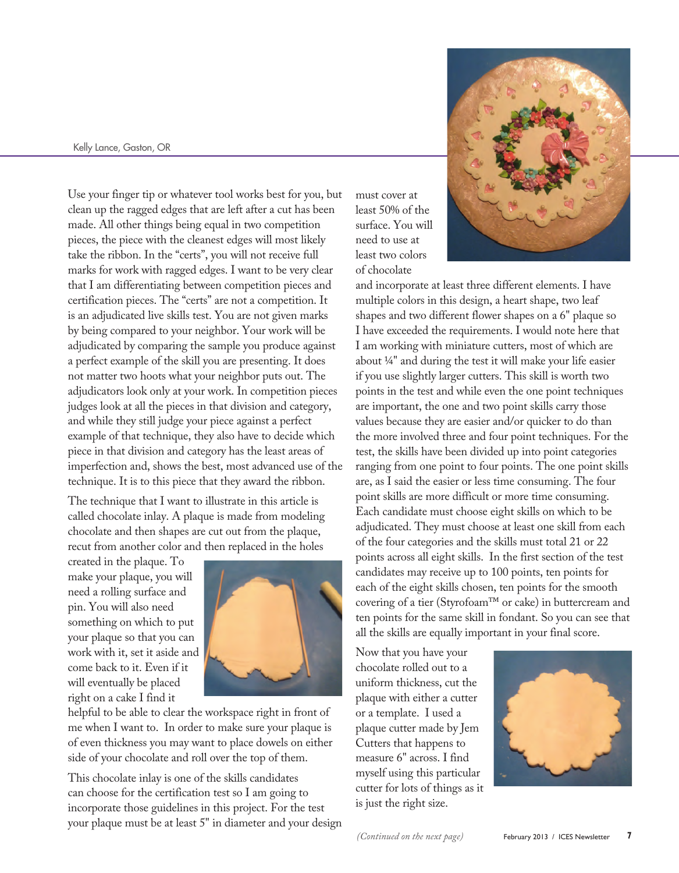Kelly Lance, Gaston, OR<br>Use your finger tip or<br>clean up the ragged ed<br>made. All other things<br>pieces, the piece with<br>take the ribbon. In the Use your finger tip or whatever tool works best for you, but clean up the ragged edges that are left after a cut has been made. All other things being equal in two competition pieces, the piece with the cleanest edges will most likely take the ribbon. In the "certs", you will not receive full marks for work with ragged edges. I want to be very clear that I am differentiating between competition pieces and certification pieces. The "certs" are not a competition. It is an adjudicated live skills test. You are not given marks by being compared to your neighbor. Your work will be adjudicated by comparing the sample you produce against a perfect example of the skill you are presenting. It does not matter two hoots what your neighbor puts out. The adjudicators look only at your work. In competition pieces judges look at all the pieces in that division and category, and while they still judge your piece against a perfect example of that technique, they also have to decide which piece in that division and category has the least areas of imperfection and, shows the best, most advanced use of the technique. It is to this piece that they award the ribbon.

> The technique that I want to illustrate in this article is called chocolate inlay. A plaque is made from modeling chocolate and then shapes are cut out from the plaque, recut from another color and then replaced in the holes

created in the plaque. To make your plaque, you will need a rolling surface and pin. You will also need something on which to put your plaque so that you can work with it, set it aside and come back to it. Even if it will eventually be placed right on a cake I find it



helpful to be able to clear the workspace right in front of me when I want to. In order to make sure your plaque is of even thickness you may want to place dowels on either side of your chocolate and roll over the top of them.

This chocolate inlay is one of the skills candidates can choose for the certification test so I am going to incorporate those guidelines in this project. For the test your plaque must be at least 5" in diameter and your design must cover at least 50% of the surface. You will need to use at least two colors of chocolate



and incorporate at least three different elements. I have multiple colors in this design, a heart shape, two leaf shapes and two different flower shapes on a 6" plaque so I have exceeded the requirements. I would note here that I am working with miniature cutters, most of which are about ¼" and during the test it will make your life easier if you use slightly larger cutters. This skill is worth two points in the test and while even the one point techniques are important, the one and two point skills carry those values because they are easier and/or quicker to do than the more involved three and four point techniques. For the test, the skills have been divided up into point categories ranging from one point to four points. The one point skills are, as I said the easier or less time consuming. The four point skills are more difficult or more time consuming. Each candidate must choose eight skills on which to be adjudicated. They must choose at least one skill from each of the four categories and the skills must total 21 or 22 points across all eight skills. In the first section of the test candidates may receive up to 100 points, ten points for each of the eight skills chosen, ten points for the smooth covering of a tier (Styrofoam™ or cake) in buttercream and ten points for the same skill in fondant. So you can see that all the skills are equally important in your final score.

Now that you have your chocolate rolled out to a uniform thickness, cut the plaque with either a cutter or a template. I used a plaque cutter made by Jem Cutters that happens to measure 6" across. I find myself using this particular cutter for lots of things as it is just the right size.

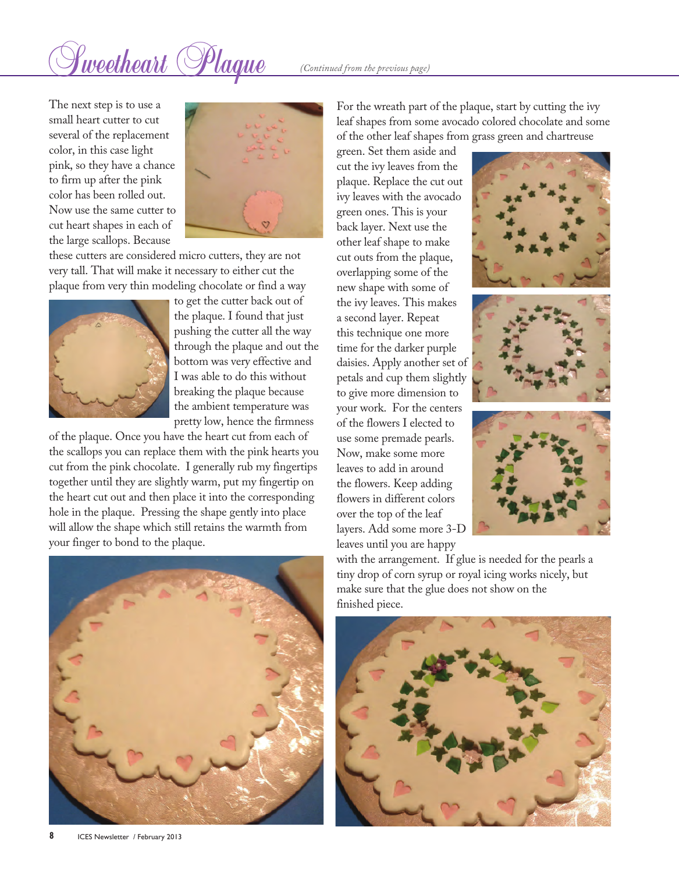## Sweetheart Plaque *(Continued from the previous page)*

The next step is to use a small heart cutter to cut several of the replacement color, in this case light pink, so they have a chance to firm up after the pink color has been rolled out. Now use the same cutter to cut heart shapes in each of the large scallops. Because



these cutters are considered micro cutters, they are not very tall. That will make it necessary to either cut the plaque from very thin modeling chocolate or find a way



to get the cutter back out of the plaque. I found that just pushing the cutter all the way through the plaque and out the bottom was very effective and I was able to do this without breaking the plaque because the ambient temperature was pretty low, hence the firmness

of the plaque. Once you have the heart cut from each of the scallops you can replace them with the pink hearts you cut from the pink chocolate. I generally rub my fingertips together until they are slightly warm, put my fingertip on the heart cut out and then place it into the corresponding hole in the plaque. Pressing the shape gently into place will allow the shape which still retains the warmth from your finger to bond to the plaque.



For the wreath part of the plaque, start by cutting the ivy leaf shapes from some avocado colored chocolate and some of the other leaf shapes from grass green and chartreuse

green. Set them aside and cut the ivy leaves from the plaque. Replace the cut out ivy leaves with the avocado green ones. This is your back layer. Next use the other leaf shape to make cut outs from the plaque, overlapping some of the new shape with some of the ivy leaves. This makes a second layer. Repeat this technique one more time for the darker purple daisies. Apply another set of petals and cup them slightly to give more dimension to your work. For the centers of the flowers I elected to use some premade pearls. Now, make some more leaves to add in around the flowers. Keep adding flowers in different colors over the top of the leaf layers. Add some more 3-D leaves until you are happy







with the arrangement. If glue is needed for the pearls a tiny drop of corn syrup or royal icing works nicely, but make sure that the glue does not show on the finished piece.